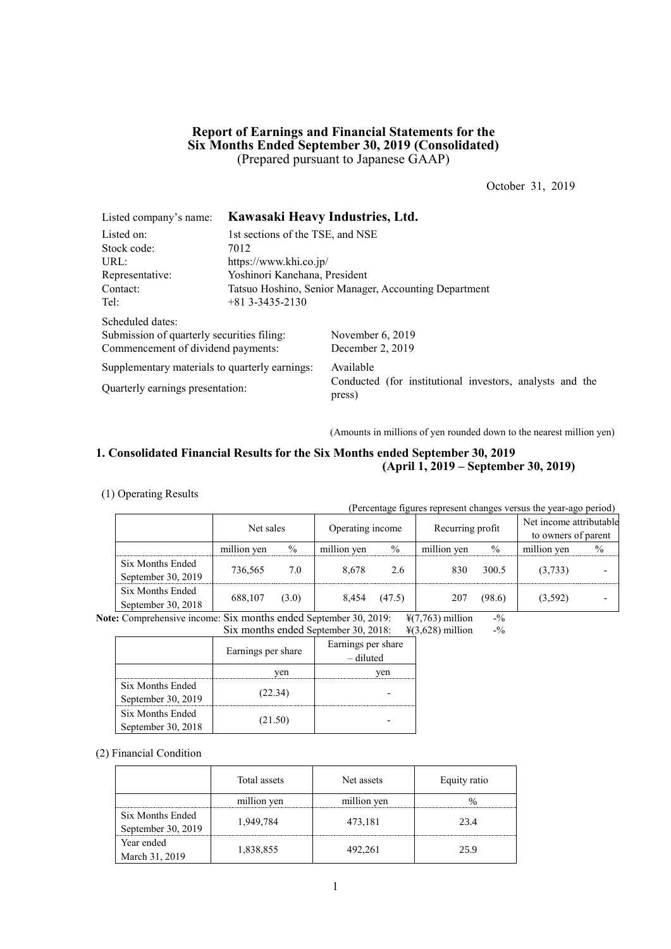## **Report of Earnings and Financial Statements for the Six Months Ended September 30, 2019 (Consolidated)** (Prepared pursuant to Japanese GAAP)

October 31, 2019

| Listed company's name:                         | Kawasaki Heavy Industries, Ltd.                       |                                                                    |  |  |  |
|------------------------------------------------|-------------------------------------------------------|--------------------------------------------------------------------|--|--|--|
| Listed on:                                     | 1st sections of the TSE, and NSE                      |                                                                    |  |  |  |
| Stock code:                                    | 7012                                                  |                                                                    |  |  |  |
| URL:                                           | https://www.khi.co.jp/                                |                                                                    |  |  |  |
| Representative:                                | Yoshinori Kanehana, President                         |                                                                    |  |  |  |
| Contact:                                       | Tatsuo Hoshino, Senior Manager, Accounting Department |                                                                    |  |  |  |
| Tel:                                           | $+81$ 3-3435-2130                                     |                                                                    |  |  |  |
| Scheduled dates:                               |                                                       |                                                                    |  |  |  |
| Submission of quarterly securities filing:     |                                                       | November $6, 2019$                                                 |  |  |  |
| Commencement of dividend payments:             |                                                       | December 2, 2019                                                   |  |  |  |
| Supplementary materials to quarterly earnings: |                                                       | Available                                                          |  |  |  |
| Quarterly earnings presentation:               |                                                       | Conducted (for institutional investors, analysts and the<br>press) |  |  |  |

(Amounts in millions of yen rounded down to the nearest million yen)

## **1. Consolidated Financial Results for the Six Months ended September 30, 2019 (April 1, 2019 – September 30, 2019)**

### (1) Operating Results

(Percentage figures represent changes versus the year-ago period)

|                    | Net sales   |               | Operating income |               | Recurring profit |        | Net income attributable<br>to owners of parent |      |
|--------------------|-------------|---------------|------------------|---------------|------------------|--------|------------------------------------------------|------|
|                    | million yen | $\frac{0}{0}$ | million yen      | $\frac{0}{0}$ | million yen      | $\%$   | million yen                                    | $\%$ |
| Six Months Ended   | 736.565     | 7.0           | 8.678            | 2.6           | 830              | 300.5  | (3,733)                                        |      |
| September 30, 2019 |             |               |                  |               |                  |        |                                                |      |
| Six Months Ended   | 688,107     | (3.0)         | 8,454            | (47.5)        | 207              | (98.6) |                                                |      |
| September 30, 2018 |             |               |                  |               |                  |        | (3,592)                                        |      |

**Note:** Comprehensive income: Six months ended September 30, 2019:  $\frac{\text{H}(7,763)}{\text{H}(7,763)}$  million -%

Six months ended September 30, 2018: ¥(3,628) million -%

|                    | Earnings per share | Earnings per share<br>– diluted |
|--------------------|--------------------|---------------------------------|
|                    | ven                | ven                             |
| Six Months Ended   | (22.34)            |                                 |
| September 30, 2019 |                    |                                 |
| Six Months Ended   |                    |                                 |
| September 30, 2018 | (21.50)            |                                 |

(2) Financial Condition

|                                  | Total assets | Net assets  | Equity ratio |
|----------------------------------|--------------|-------------|--------------|
|                                  | million yen  | million yen |              |
| Six Months Ended                 | 1,949,784    | 473,181     | 23.4         |
| September 30, 2019<br>Year ended |              |             |              |
| March 31, 2019                   | 1,838,855    | 492,261     | 25.9         |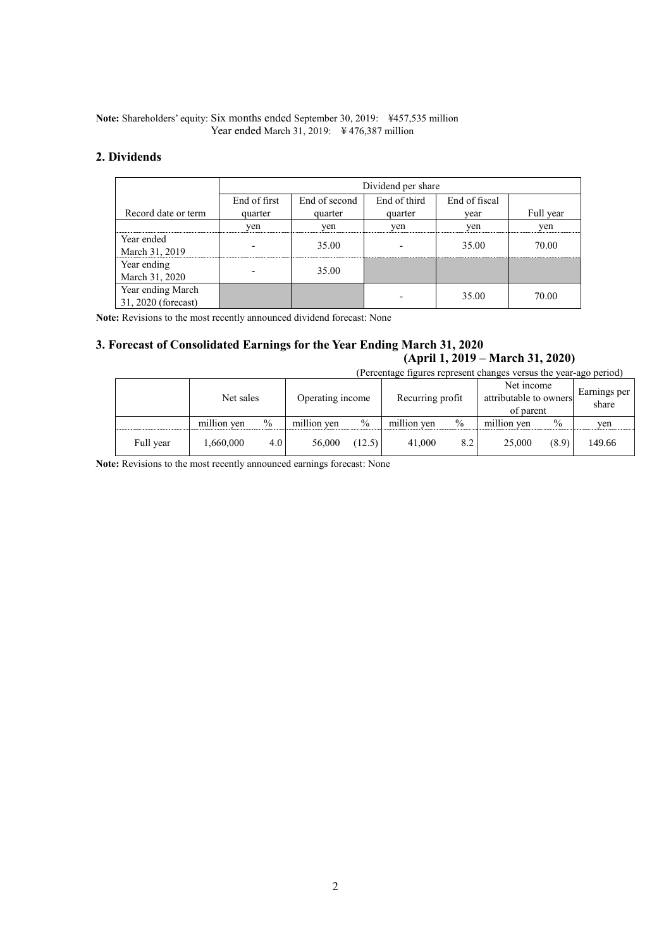### **Note:** Shareholders' equity: Six months ended September 30, 2019: ¥457,535 million Year ended March 31, 2019: ¥ 476,387 million

## **2. Dividends**

|                                          | Dividend per share       |                                                |         |       |           |  |  |  |  |
|------------------------------------------|--------------------------|------------------------------------------------|---------|-------|-----------|--|--|--|--|
|                                          | End of first             | End of third<br>End of fiscal<br>End of second |         |       |           |  |  |  |  |
| Record date or term                      | quarter                  | quarter                                        | quarter | vear  | Full year |  |  |  |  |
|                                          | yen                      | yen                                            | yen     | yen   | ven       |  |  |  |  |
| Year ended<br>March 31, 2019             | $\overline{\phantom{a}}$ | 35.00                                          |         | 35.00 | 70.00     |  |  |  |  |
| Year ending<br>March 31, 2020            |                          | 35.00                                          |         |       |           |  |  |  |  |
| Year ending March<br>31, 2020 (forecast) |                          |                                                |         | 35.00 | 70.00     |  |  |  |  |

**Note:** Revisions to the most recently announced dividend forecast: None

## **3. Forecast of Consolidated Earnings for the Year Ending March 31, 2020 (April 1, 2019 – March 31, 2020)**

| (Percentage figures represent changes versus the year-ago period) |             |               |             |                                      |             |                                                   |             |       |                       |
|-------------------------------------------------------------------|-------------|---------------|-------------|--------------------------------------|-------------|---------------------------------------------------|-------------|-------|-----------------------|
|                                                                   | Net sales   |               |             | Recurring profit<br>Operating income |             | Net income<br>attributable to owners<br>of parent |             |       | Earnings per<br>share |
|                                                                   | million yen | $\frac{0}{0}$ | million yen | $\frac{0}{0}$                        | million yen | $\frac{0}{0}$                                     | million yen | $\%$  | yen                   |
| Full year                                                         | 1,660,000   | 4.0           | 56,000      | (12.5)                               | 41,000      | 8.2                                               | 25,000      | (8.9) | 149.66                |

**Note:** Revisions to the most recently announced earnings forecast: None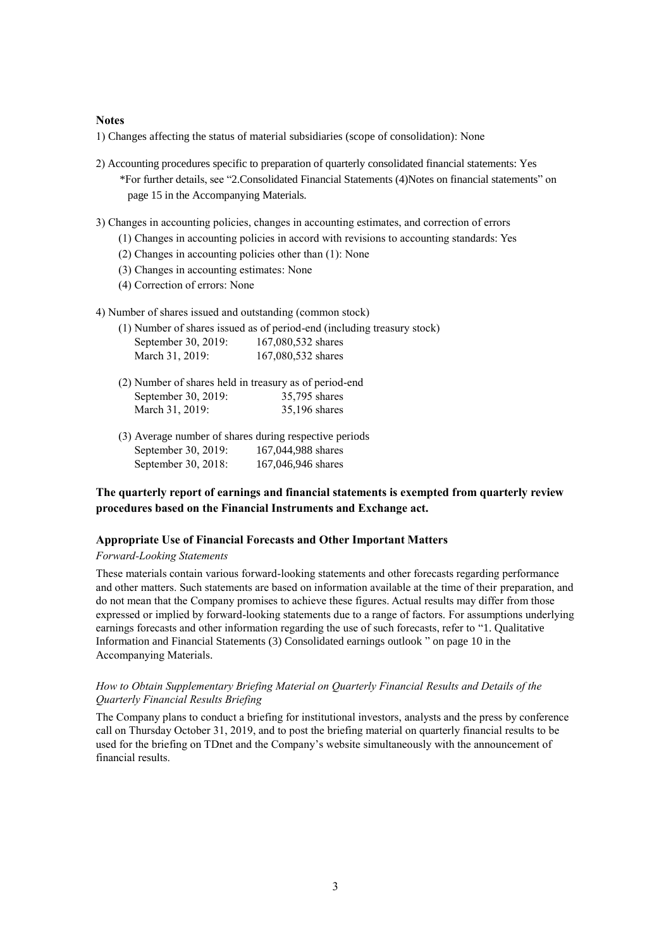### **Notes**

1) Changes affecting the status of material subsidiaries (scope of consolidation): None

- 2) Accounting procedures specific to preparation of quarterly consolidated financial statements: Yes \*For further details, see "2.Consolidated Financial Statements (4)Notes on financial statements" on page 15 in the Accompanying Materials.
- 3) Changes in accounting policies, changes in accounting estimates, and correction of errors
	- (1) Changes in accounting policies in accord with revisions to accounting standards: Yes
	- (2) Changes in accounting policies other than (1): None
	- (3) Changes in accounting estimates: None
	- (4) Correction of errors: None
- 4) Number of shares issued and outstanding (common stock)

|                     | (1) Number of shares issued as of period-end (including treasury stock) |
|---------------------|-------------------------------------------------------------------------|
| September 30, 2019: | 167,080,532 shares                                                      |
| March 31, 2019:     | 167,080,532 shares                                                      |

- (2) Number of shares held in treasury as of period-end September 30, 2019: 35,795 shares March 31, 2019: 35,196 shares
- (3) Average number of shares during respective periods September 30, 2019: 167,044,988 shares September 30, 2018: 167,046,946 shares

## **The quarterly report of earnings and financial statements is exempted from quarterly review procedures based on the Financial Instruments and Exchange act.**

#### **Appropriate Use of Financial Forecasts and Other Important Matters**

#### *Forward-Looking Statements*

These materials contain various forward-looking statements and other forecasts regarding performance and other matters. Such statements are based on information available at the time of their preparation, and do not mean that the Company promises to achieve these figures. Actual results may differ from those expressed or implied by forward-looking statements due to a range of factors. For assumptions underlying earnings forecasts and other information regarding the use of such forecasts, refer to "1. Qualitative Information and Financial Statements (3) Consolidated earnings outlook " on page 10 in the Accompanying Materials.

### *How to Obtain Supplementary Briefing Material on Quarterly Financial Results and Details of the Quarterly Financial Results Briefing*

The Company plans to conduct a briefing for institutional investors, analysts and the press by conference call on Thursday October 31, 2019, and to post the briefing material on quarterly financial results to be used for the briefing on TDnet and the Company's website simultaneously with the announcement of financial results.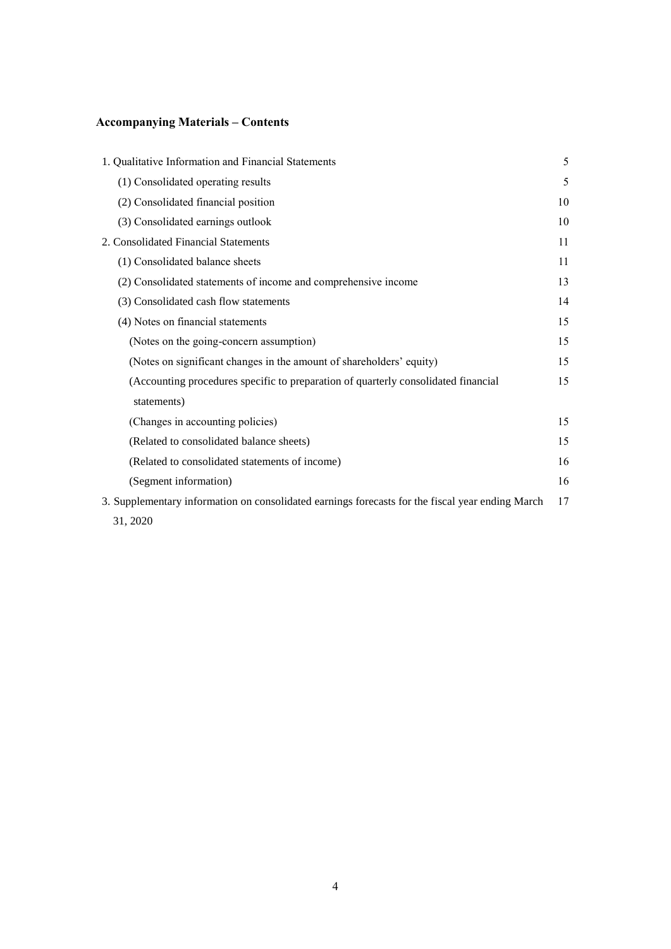# **Accompanying Materials – Contents**

| 1. Qualitative Information and Financial Statements                                              | 5  |
|--------------------------------------------------------------------------------------------------|----|
| (1) Consolidated operating results                                                               | 5  |
| (2) Consolidated financial position                                                              | 10 |
| (3) Consolidated earnings outlook                                                                | 10 |
| 2. Consolidated Financial Statements                                                             | 11 |
| (1) Consolidated balance sheets                                                                  | 11 |
| (2) Consolidated statements of income and comprehensive income                                   | 13 |
| (3) Consolidated cash flow statements                                                            | 14 |
| (4) Notes on financial statements                                                                | 15 |
| (Notes on the going-concern assumption)                                                          | 15 |
| (Notes on significant changes in the amount of shareholders' equity)                             | 15 |
| (Accounting procedures specific to preparation of quarterly consolidated financial               | 15 |
| statements)                                                                                      |    |
| (Changes in accounting policies)                                                                 | 15 |
| (Related to consolidated balance sheets)                                                         | 15 |
| (Related to consolidated statements of income)                                                   | 16 |
| (Segment information)                                                                            | 16 |
| 3. Supplementary information on consolidated earnings forecasts for the fiscal year ending March | 17 |
| 31, 2020                                                                                         |    |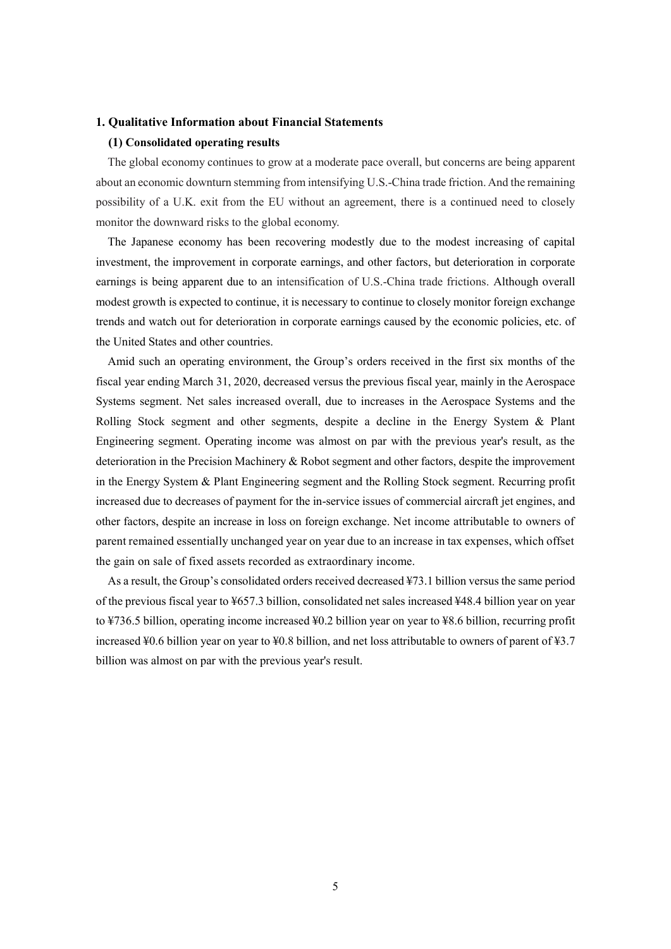### **1. Qualitative Information about Financial Statements**

### **(1) Consolidated operating results**

The global economy continues to grow at a moderate pace overall, but concerns are being apparent about an economic downturn stemming from intensifying U.S.-China trade friction. And the remaining possibility of a U.K. exit from the EU without an agreement, there is a continued need to closely monitor the downward risks to the global economy.

The Japanese economy has been recovering modestly due to the modest increasing of capital investment, the improvement in corporate earnings, and other factors, but deterioration in corporate earnings is being apparent due to an intensification of U.S.-China trade frictions. Although overall modest growth is expected to continue, it is necessary to continue to closely monitor foreign exchange trends and watch out for deterioration in corporate earnings caused by the economic policies, etc. of the United States and other countries.

Amid such an operating environment, the Group's orders received in the first six months of the fiscal year ending March 31, 2020, decreased versus the previous fiscal year, mainly in the Aerospace Systems segment. Net sales increased overall, due to increases in the Aerospace Systems and the Rolling Stock segment and other segments, despite a decline in the Energy System & Plant Engineering segment. Operating income was almost on par with the previous year's result, as the deterioration in the Precision Machinery & Robot segment and other factors, despite the improvement in the Energy System & Plant Engineering segment and the Rolling Stock segment. Recurring profit increased due to decreases of payment for the in-service issues of commercial aircraft jet engines, and other factors, despite an increase in loss on foreign exchange. Net income attributable to owners of parent remained essentially unchanged year on year due to an increase in tax expenses, which offset the gain on sale of fixed assets recorded as extraordinary income.

As a result, the Group's consolidated orders received decreased ¥73.1 billion versus the same period of the previous fiscal year to ¥657.3 billion, consolidated net sales increased ¥48.4 billion year on year to ¥736.5 billion, operating income increased ¥0.2 billion year on year to ¥8.6 billion, recurring profit increased ¥0.6 billion year on year to ¥0.8 billion, and net loss attributable to owners of parent of ¥3.7 billion was almost on par with the previous year's result.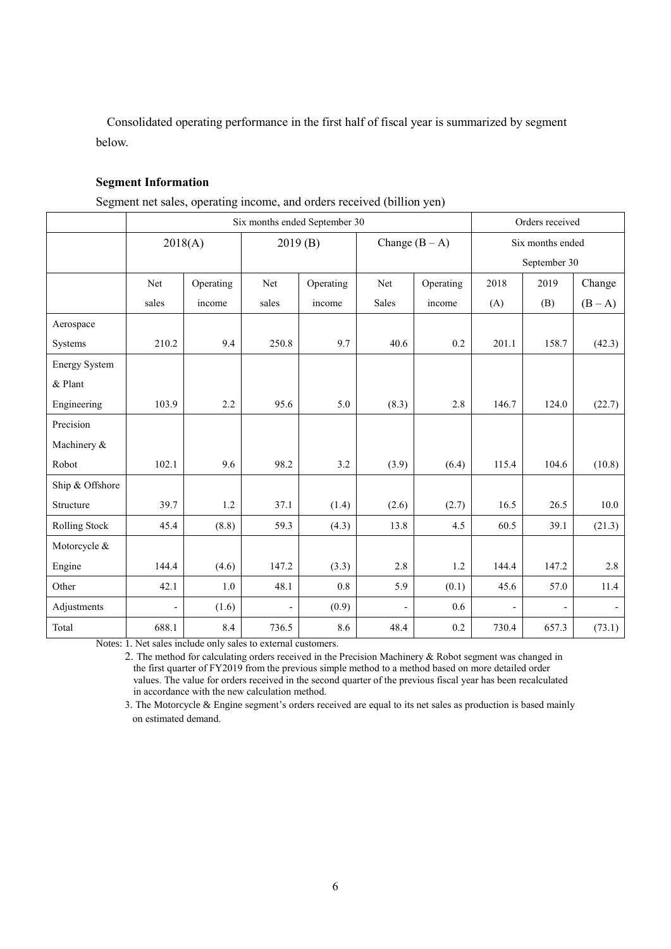Consolidated operating performance in the first half of fiscal year is summarized by segment below.

## **Segment Information**

|  | Segment net sales, operating income, and orders received (billion yen) |  |
|--|------------------------------------------------------------------------|--|
|  |                                                                        |  |

|                      | Six months ended September 30 |           |         |           |                          |                  |       | Orders received  |         |  |
|----------------------|-------------------------------|-----------|---------|-----------|--------------------------|------------------|-------|------------------|---------|--|
|                      | 2018(A)                       |           | 2019(B) |           |                          | Change $(B - A)$ |       | Six months ended |         |  |
|                      |                               |           |         |           |                          |                  |       | September 30     |         |  |
|                      | Net                           | Operating | Net     | Operating | Net                      | Operating        | 2018  | 2019             | Change  |  |
|                      | sales                         | income    | sales   | income    | Sales                    | income           | (A)   | (B)              | $(B-A)$ |  |
| Aerospace            |                               |           |         |           |                          |                  |       |                  |         |  |
| Systems              | 210.2                         | 9.4       | 250.8   | 9.7       | 40.6                     | 0.2              | 201.1 | 158.7            | (42.3)  |  |
| <b>Energy System</b> |                               |           |         |           |                          |                  |       |                  |         |  |
| & Plant              |                               |           |         |           |                          |                  |       |                  |         |  |
| Engineering          | 103.9                         | 2.2       | 95.6    | 5.0       | (8.3)                    | 2.8              | 146.7 | 124.0            | (22.7)  |  |
| Precision            |                               |           |         |           |                          |                  |       |                  |         |  |
| Machinery &          |                               |           |         |           |                          |                  |       |                  |         |  |
| Robot                | 102.1                         | 9.6       | 98.2    | 3.2       | (3.9)                    | (6.4)            | 115.4 | 104.6            | (10.8)  |  |
| Ship & Offshore      |                               |           |         |           |                          |                  |       |                  |         |  |
| Structure            | 39.7                          | 1.2       | 37.1    | (1.4)     | (2.6)                    | (2.7)            | 16.5  | 26.5             | 10.0    |  |
| Rolling Stock        | 45.4                          | (8.8)     | 59.3    | (4.3)     | 13.8                     | 4.5              | 60.5  | 39.1             | (21.3)  |  |
| Motorcycle &         |                               |           |         |           |                          |                  |       |                  |         |  |
| Engine               | 144.4                         | (4.6)     | 147.2   | (3.3)     | 2.8                      | 1.2              | 144.4 | 147.2            | 2.8     |  |
| Other                | 42.1                          | $1.0\,$   | 48.1    | $0.8\,$   | 5.9                      | (0.1)            | 45.6  | 57.0             | 11.4    |  |
| Adjustments          | $\overline{a}$                | (1.6)     |         | (0.9)     | $\overline{\phantom{a}}$ | 0.6              |       |                  |         |  |
| Total                | 688.1                         | 8.4       | 736.5   | 8.6       | 48.4                     | 0.2              | 730.4 | 657.3            | (73.1)  |  |

Notes: 1. Net sales include only sales to external customers.

2. The method for calculating orders received in the Precision Machinery & Robot segment was changed in the first quarter of FY2019 from the previous simple method to a method based on more detailed order values. The value for orders received in the second quarter of the previous fiscal year has been recalculated in accordance with the new calculation method.

3. The Motorcycle & Engine segment's orders received are equal to its net sales as production is based mainly on estimated demand.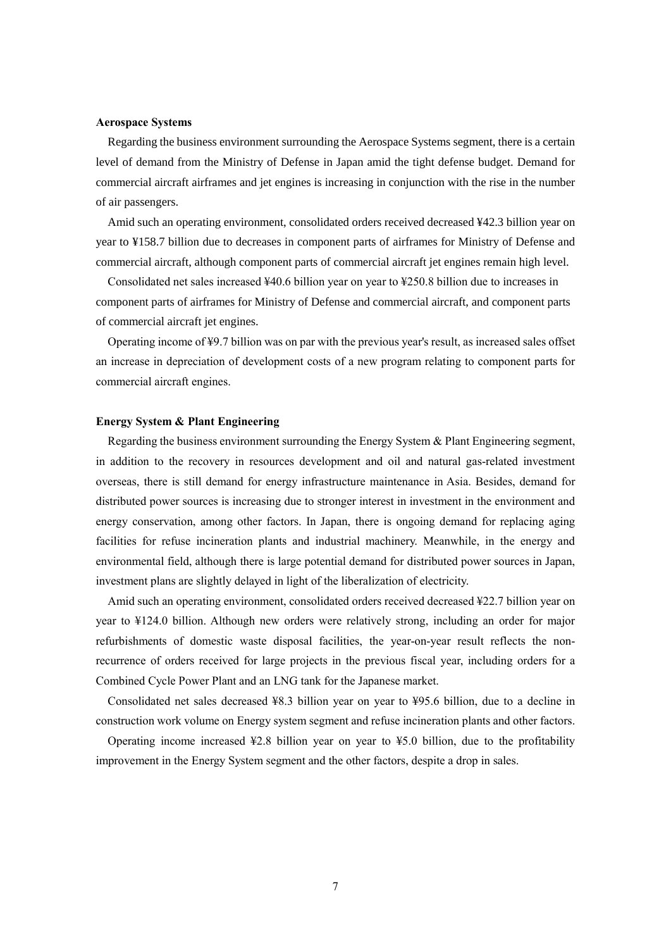#### **Aerospace Systems**

Regarding the business environment surrounding the Aerospace Systems segment, there is a certain level of demand from the Ministry of Defense in Japan amid the tight defense budget. Demand for commercial aircraft airframes and jet engines is increasing in conjunction with the rise in the number of air passengers.

Amid such an operating environment, consolidated orders received decreased ¥42.3 billion year on year to ¥158.7 billion due to decreases in component parts of airframes for Ministry of Defense and commercial aircraft, although component parts of commercial aircraft jet engines remain high level.

Consolidated net sales increased ¥40.6 billion year on year to ¥250.8 billion due to increases in component parts of airframes for Ministry of Defense and commercial aircraft, and component parts of commercial aircraft jet engines.

Operating income of ¥9.7 billion was on par with the previous year's result, as increased sales offset an increase in depreciation of development costs of a new program relating to component parts for commercial aircraft engines.

### **Energy System & Plant Engineering**

Regarding the business environment surrounding the Energy System & Plant Engineering segment, in addition to the recovery in resources development and oil and natural gas-related investment overseas, there is still demand for energy infrastructure maintenance in Asia. Besides, demand for distributed power sources is increasing due to stronger interest in investment in the environment and energy conservation, among other factors. In Japan, there is ongoing demand for replacing aging facilities for refuse incineration plants and industrial machinery. Meanwhile, in the energy and environmental field, although there is large potential demand for distributed power sources in Japan, investment plans are slightly delayed in light of the liberalization of electricity.

Amid such an operating environment, consolidated orders received decreased ¥22.7 billion year on year to ¥124.0 billion. Although new orders were relatively strong, including an order for major refurbishments of domestic waste disposal facilities, the year-on-year result reflects the nonrecurrence of orders received for large projects in the previous fiscal year, including orders for a Combined Cycle Power Plant and an LNG tank for the Japanese market.

Consolidated net sales decreased ¥8.3 billion year on year to ¥95.6 billion, due to a decline in construction work volume on Energy system segment and refuse incineration plants and other factors.

Operating income increased  $\text{\textsterling}2.8$  billion year on year to  $\text{\textsterling}5.0$  billion, due to the profitability improvement in the Energy System segment and the other factors, despite a drop in sales.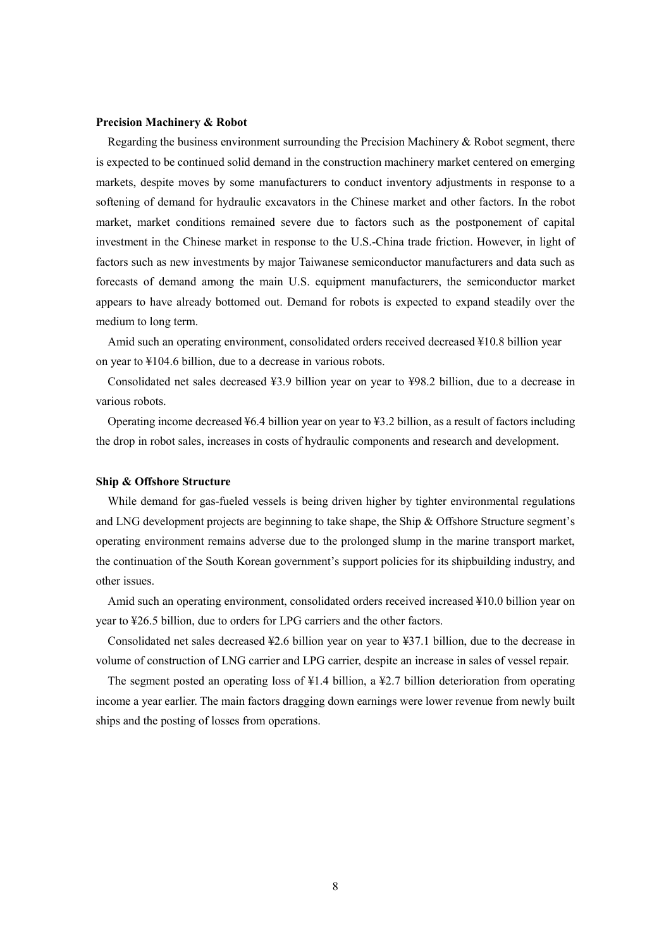#### **Precision Machinery & Robot**

Regarding the business environment surrounding the Precision Machinery  $\&$  Robot segment, there is expected to be continued solid demand in the construction machinery market centered on emerging markets, despite moves by some manufacturers to conduct inventory adjustments in response to a softening of demand for hydraulic excavators in the Chinese market and other factors. In the robot market, market conditions remained severe due to factors such as the postponement of capital investment in the Chinese market in response to the U.S.-China trade friction. However, in light of factors such as new investments by major Taiwanese semiconductor manufacturers and data such as forecasts of demand among the main U.S. equipment manufacturers, the semiconductor market appears to have already bottomed out. Demand for robots is expected to expand steadily over the medium to long term.

Amid such an operating environment, consolidated orders received decreased ¥10.8 billion year on year to ¥104.6 billion, due to a decrease in various robots.

Consolidated net sales decreased ¥3.9 billion year on year to ¥98.2 billion, due to a decrease in various robots.

Operating income decreased ¥6.4 billion year on year to ¥3.2 billion, as a result of factors including the drop in robot sales, increases in costs of hydraulic components and research and development.

### **Ship & Offshore Structure**

While demand for gas-fueled vessels is being driven higher by tighter environmental regulations and LNG development projects are beginning to take shape, the Ship & Offshore Structure segment's operating environment remains adverse due to the prolonged slump in the marine transport market, the continuation of the South Korean government's support policies for its shipbuilding industry, and other issues.

Amid such an operating environment, consolidated orders received increased ¥10.0 billion year on year to ¥26.5 billion, due to orders for LPG carriers and the other factors.

Consolidated net sales decreased ¥2.6 billion year on year to ¥37.1 billion, due to the decrease in volume of construction of LNG carrier and LPG carrier, despite an increase in sales of vessel repair.

The segment posted an operating loss of ¥1.4 billion, a ¥2.7 billion deterioration from operating income a year earlier. The main factors dragging down earnings were lower revenue from newly built ships and the posting of losses from operations.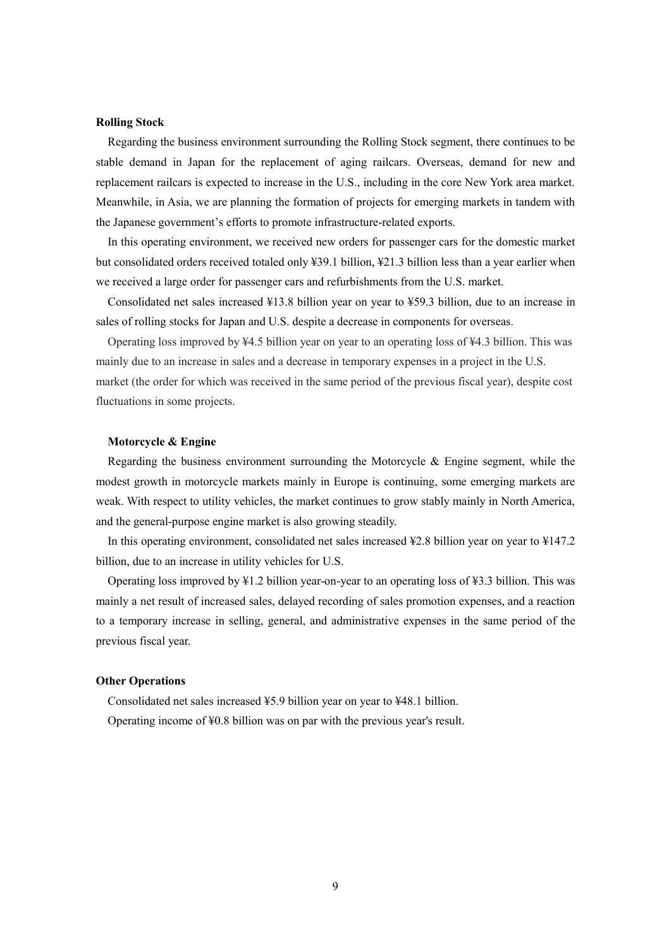#### **Rolling Stock**

Regarding the business environment surrounding the Rolling Stock segment, there continues to be stable demand in Japan for the replacement of aging railcars. Overseas, demand for new and replacement railcars is expected to increase in the U.S., including in the core New York area market. Meanwhile, in Asia, we are planning the formation of projects for emerging markets in tandem with the Japanese government's efforts to promote infrastructure-related exports.

In this operating environment, we received new orders for passenger cars for the domestic market but consolidated orders received totaled only ¥39.1 billion, ¥21.3 billion less than a year earlier when we received a large order for passenger cars and refurbishments from the U.S. market.

Consolidated net sales increased ¥13.8 billion year on year to ¥59.3 billion, due to an increase in sales of rolling stocks for Japan and U.S. despite a decrease in components for overseas.

Operating loss improved by ¥4.5 billion year on year to an operating loss of ¥4.3 billion. This was mainly due to an increase in sales and a decrease in temporary expenses in a project in the U.S. market (the order for which was received in the same period of the previous fiscal year), despite cost fluctuations in some projects.

#### **Motorcycle & Engine**

Regarding the business environment surrounding the Motorcycle & Engine segment, while the modest growth in motorcycle markets mainly in Europe is continuing, some emerging markets are weak. With respect to utility vehicles, the market continues to grow stably mainly in North America, and the general-purpose engine market is also growing steadily.

In this operating environment, consolidated net sales increased ¥2.8 billion year on year to ¥147.2 billion, due to an increase in utility vehicles for U.S.

Operating loss improved by ¥1.2 billion year-on-year to an operating loss of ¥3.3 billion. This was mainly a net result of increased sales, delayed recording of sales promotion expenses, and a reaction to a temporary increase in selling, general, and administrative expenses in the same period of the previous fiscal year.

#### **Other Operations**

Consolidated net sales increased ¥5.9 billion year on year to ¥48.1 billion. Operating income of ¥0.8 billion was on par with the previous year's result.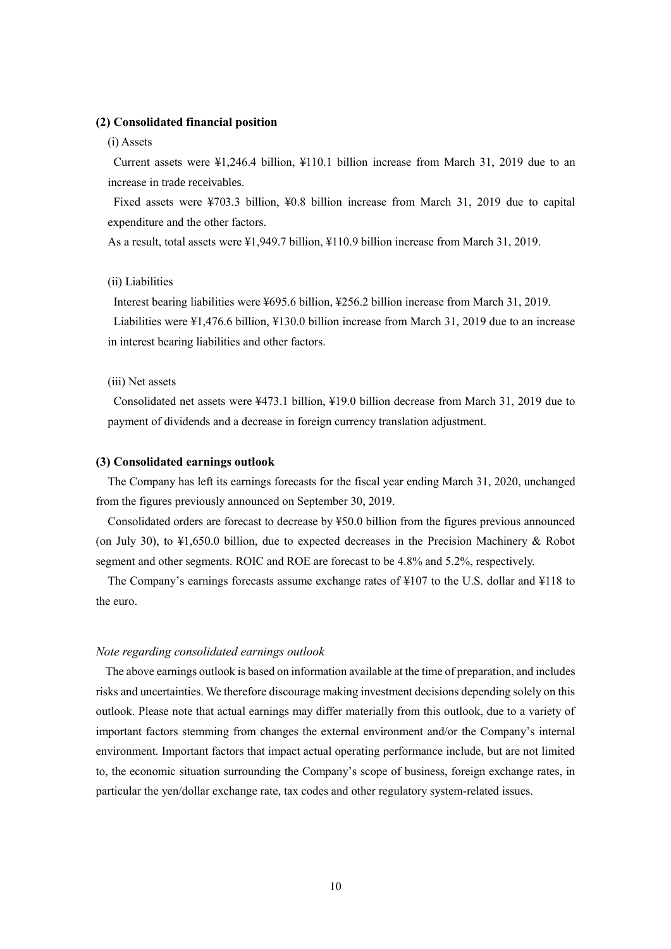### **(2) Consolidated financial position**

#### (i) Assets

Current assets were ¥1,246.4 billion, ¥110.1 billion increase from March 31, 2019 due to an increase in trade receivables.

Fixed assets were ¥703.3 billion, ¥0.8 billion increase from March 31, 2019 due to capital expenditure and the other factors.

As a result, total assets were ¥1,949.7 billion, ¥110.9 billion increase from March 31, 2019.

### (ii) Liabilities

Interest bearing liabilities were ¥695.6 billion, ¥256.2 billion increase from March 31, 2019. Liabilities were ¥1,476.6 billion, ¥130.0 billion increase from March 31, 2019 due to an increase in interest bearing liabilities and other factors.

#### (iii) Net assets

Consolidated net assets were ¥473.1 billion, ¥19.0 billion decrease from March 31, 2019 due to payment of dividends and a decrease in foreign currency translation adjustment.

### **(3) Consolidated earnings outlook**

The Company has left its earnings forecasts for the fiscal year ending March 31, 2020, unchanged from the figures previously announced on September 30, 2019.

Consolidated orders are forecast to decrease by ¥50.0 billion from the figures previous announced (on July 30), to ¥1,650.0 billion, due to expected decreases in the Precision Machinery & Robot segment and other segments. ROIC and ROE are forecast to be 4.8% and 5.2%, respectively.

The Company's earnings forecasts assume exchange rates of ¥107 to the U.S. dollar and ¥118 to the euro.

#### *Note regarding consolidated earnings outlook*

The above earnings outlook is based on information available at the time of preparation, and includes risks and uncertainties. We therefore discourage making investment decisions depending solely on this outlook. Please note that actual earnings may differ materially from this outlook, due to a variety of important factors stemming from changes the external environment and/or the Company's internal environment. Important factors that impact actual operating performance include, but are not limited to, the economic situation surrounding the Company's scope of business, foreign exchange rates, in particular the yen/dollar exchange rate, tax codes and other regulatory system-related issues.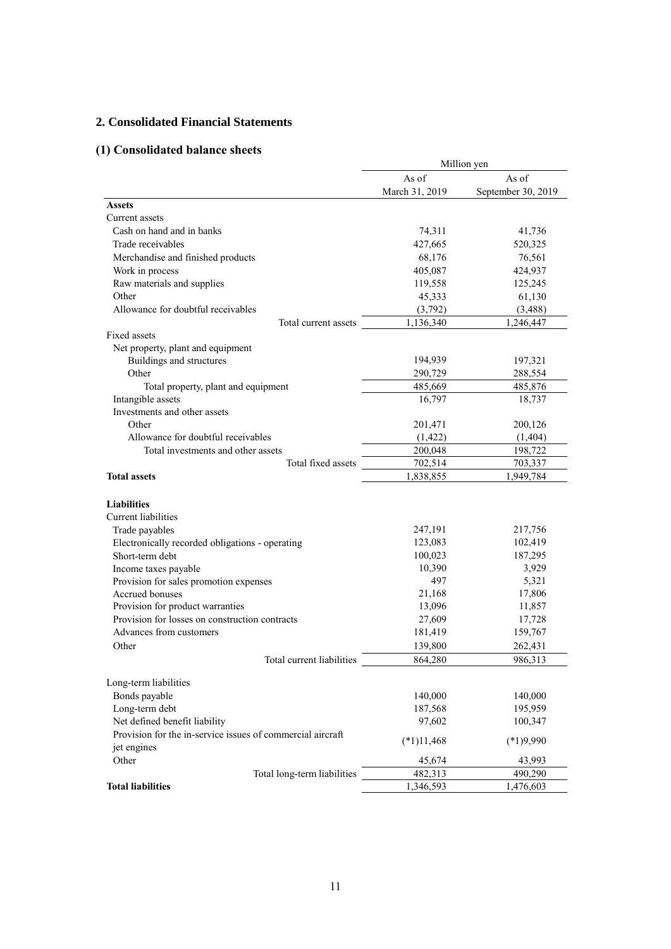## **2. Consolidated Financial Statements**

# **(1) Consolidated balance sheets**

|                                                            | Million yen    |                    |  |
|------------------------------------------------------------|----------------|--------------------|--|
|                                                            | As of          | As of              |  |
|                                                            | March 31, 2019 | September 30, 2019 |  |
| <b>Assets</b>                                              |                |                    |  |
| Current assets                                             |                |                    |  |
| Cash on hand and in banks                                  | 74,311         | 41,736             |  |
| Trade receivables                                          | 427,665        | 520,325            |  |
| Merchandise and finished products                          | 68,176         | 76,561             |  |
| Work in process                                            | 405,087        | 424,937            |  |
| Raw materials and supplies                                 | 119,558        | 125,245            |  |
| Other                                                      | 45,333         | 61,130             |  |
| Allowance for doubtful receivables                         | (3,792)        | (3, 488)           |  |
| Total current assets                                       | 1,136,340      | 1,246,447          |  |
| Fixed assets                                               |                |                    |  |
| Net property, plant and equipment                          |                |                    |  |
| Buildings and structures                                   | 194,939        | 197,321            |  |
| Other                                                      | 290,729        | 288,554            |  |
| Total property, plant and equipment                        | 485,669        | 485,876            |  |
| Intangible assets                                          | 16,797         | 18,737             |  |
| Investments and other assets                               |                |                    |  |
| Other                                                      | 201,471        | 200,126            |  |
| Allowance for doubtful receivables                         | (1, 422)       | (1,404)            |  |
| Total investments and other assets                         | 200,048        | 198,722            |  |
| Total fixed assets                                         | 702,514        | 703,337            |  |
| <b>Total assets</b>                                        | 1,838,855      | 1,949,784          |  |
|                                                            |                |                    |  |
| <b>Liabilities</b>                                         |                |                    |  |
| Current liabilities                                        |                |                    |  |
| Trade payables                                             | 247,191        | 217,756            |  |
| Electronically recorded obligations - operating            | 123,083        | 102,419            |  |
| Short-term debt                                            | 100,023        | 187,295            |  |
| Income taxes payable                                       | 10,390         | 3,929              |  |
| Provision for sales promotion expenses                     | 497            | 5,321              |  |
| Accrued bonuses                                            | 21,168         | 17,806             |  |
| Provision for product warranties                           | 13,096         | 11,857             |  |
| Provision for losses on construction contracts             | 27,609         | 17,728             |  |
| Advances from customers                                    | 181,419        | 159,767            |  |
| Other                                                      | 139,800        | 262,431            |  |
| Total current liabilities                                  | 864,280        | 986,313            |  |
|                                                            |                |                    |  |
| Long-term liabilities<br>Bonds payable                     | 140,000        | 140,000            |  |
| Long-term debt                                             |                |                    |  |
| Net defined benefit liability                              | 187,568        | 195,959            |  |
|                                                            | 97,602         | 100,347            |  |
| Provision for the in-service issues of commercial aircraft | $(*1)11,468$   | $(*1)9,990$        |  |
| jet engines                                                |                |                    |  |
| Other                                                      | 45,674         | 43,993             |  |
| Total long-term liabilities                                | 482,313        | 490,290            |  |
| <b>Total liabilities</b>                                   | 1,346,593      | 1,476,603          |  |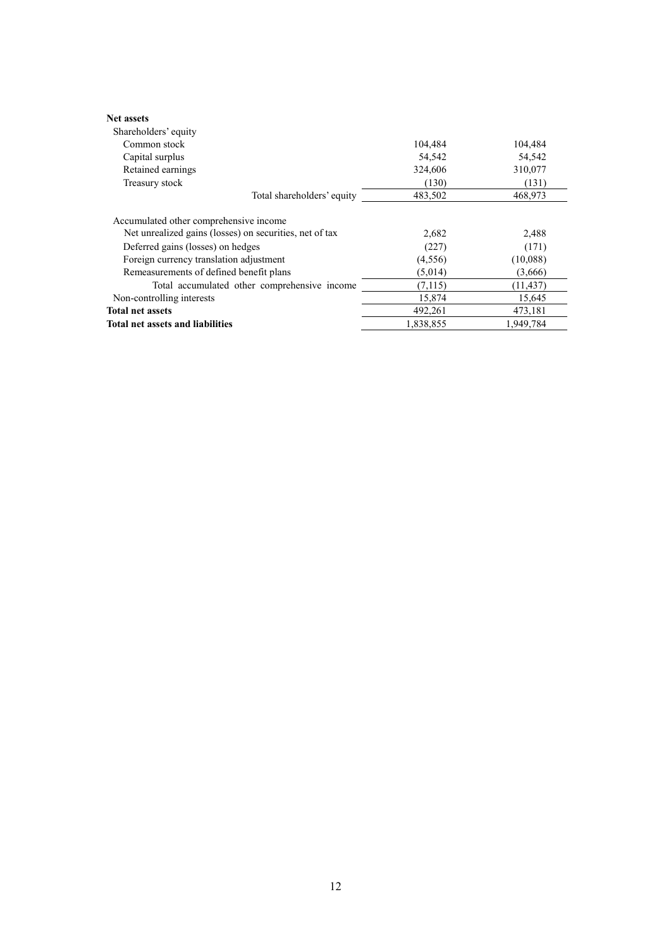| <b>Net assets</b>                                       |           |           |
|---------------------------------------------------------|-----------|-----------|
| Shareholders' equity                                    |           |           |
| Common stock                                            | 104,484   | 104,484   |
| Capital surplus                                         | 54,542    | 54,542    |
| Retained earnings                                       | 324,606   | 310,077   |
| Treasury stock                                          | (130)     | (131)     |
| Total shareholders' equity                              | 483,502   | 468,973   |
| Accumulated other comprehensive income                  |           |           |
| Net unrealized gains (losses) on securities, net of tax | 2,682     | 2,488     |
| Deferred gains (losses) on hedges                       | (227)     | (171)     |
| Foreign currency translation adjustment                 | (4,556)   | (10,088)  |
| Remeasurements of defined benefit plans                 | (5,014)   | (3,666)   |
| Total accumulated other comprehensive income            | (7, 115)  | (11, 437) |
| Non-controlling interests                               | 15,874    | 15,645    |
| <b>Total net assets</b>                                 | 492,261   | 473,181   |
| <b>Total net assets and liabilities</b>                 | 1.838.855 | 1.949.784 |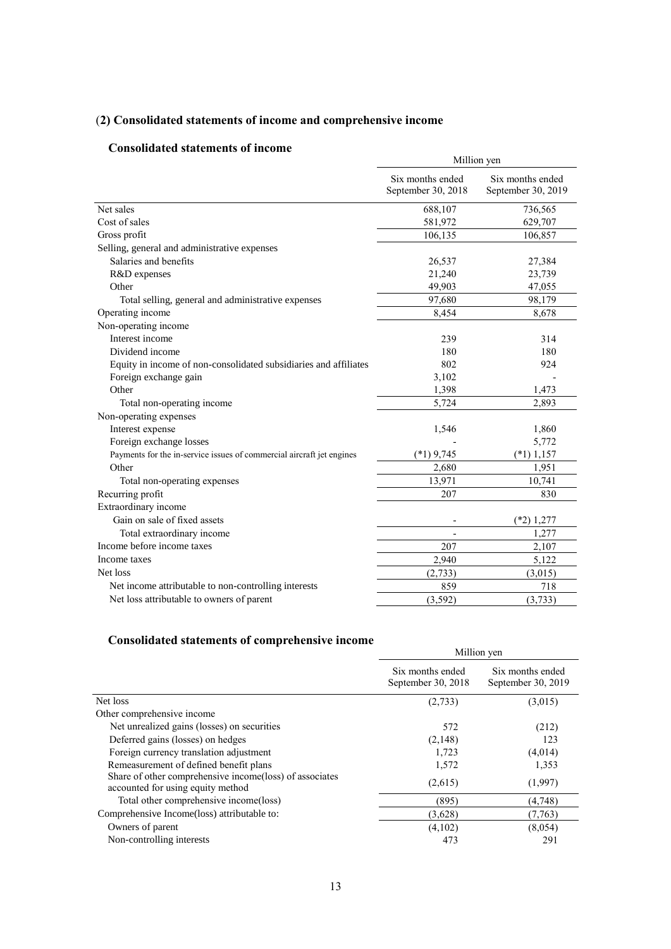# (**2) Consolidated statements of income and comprehensive income**

## **Consolidated statements of income**

| onsonuateu statements of meome                                        | Million yen                            |                                        |  |
|-----------------------------------------------------------------------|----------------------------------------|----------------------------------------|--|
|                                                                       | Six months ended<br>September 30, 2018 | Six months ended<br>September 30, 2019 |  |
| Net sales                                                             | 688,107                                | 736,565                                |  |
| Cost of sales                                                         | 581,972                                | 629,707                                |  |
| Gross profit                                                          | 106,135                                | 106,857                                |  |
| Selling, general and administrative expenses                          |                                        |                                        |  |
| Salaries and benefits                                                 | 26,537                                 | 27,384                                 |  |
| R&D expenses                                                          | 21,240                                 | 23,739                                 |  |
| Other                                                                 | 49,903                                 | 47,055                                 |  |
| Total selling, general and administrative expenses                    | 97,680                                 | 98,179                                 |  |
| Operating income                                                      | 8,454                                  | 8,678                                  |  |
| Non-operating income                                                  |                                        |                                        |  |
| Interest income                                                       | 239                                    | 314                                    |  |
| Dividend income                                                       | 180                                    | 180                                    |  |
| Equity in income of non-consolidated subsidiaries and affiliates      | 802                                    | 924                                    |  |
| Foreign exchange gain                                                 | 3,102                                  |                                        |  |
| Other                                                                 | 1,398                                  | 1,473                                  |  |
| Total non-operating income                                            | 5,724                                  | 2,893                                  |  |
| Non-operating expenses                                                |                                        |                                        |  |
| Interest expense                                                      | 1,546                                  | 1,860                                  |  |
| Foreign exchange losses                                               |                                        | 5,772                                  |  |
| Payments for the in-service issues of commercial aircraft jet engines | $(*1)$ 9,745                           | $(*1)$ 1,157                           |  |
| Other                                                                 | 2,680                                  | 1,951                                  |  |
| Total non-operating expenses                                          | 13,971                                 | 10,741                                 |  |
| Recurring profit                                                      | 207                                    | 830                                    |  |
| Extraordinary income                                                  |                                        |                                        |  |
| Gain on sale of fixed assets                                          |                                        | $(*2)$ 1,277                           |  |
| Total extraordinary income                                            |                                        | 1,277                                  |  |
| Income before income taxes                                            | 207                                    | 2,107                                  |  |
| Income taxes                                                          | 2,940                                  | 5,122                                  |  |
| Net loss                                                              | (2,733)                                | (3,015)                                |  |
| Net income attributable to non-controlling interests                  | 859                                    | 718                                    |  |
| Net loss attributable to owners of parent                             | (3,592)                                | (3,733)                                |  |
|                                                                       |                                        |                                        |  |

# **Consolidated statements of comprehensive income**

|                                                                                               | Million yen                            |                                        |  |
|-----------------------------------------------------------------------------------------------|----------------------------------------|----------------------------------------|--|
|                                                                                               | Six months ended<br>September 30, 2018 | Six months ended<br>September 30, 2019 |  |
| Net loss                                                                                      | (2,733)                                | (3,015)                                |  |
| Other comprehensive income                                                                    |                                        |                                        |  |
| Net unrealized gains (losses) on securities                                                   | 572                                    | (212)                                  |  |
| Deferred gains (losses) on hedges                                                             | (2,148)                                | 123                                    |  |
| Foreign currency translation adjustment                                                       | 1,723                                  | (4,014)                                |  |
| Remeasurement of defined benefit plans                                                        | 1,572                                  | 1,353                                  |  |
| Share of other comprehensive income (loss) of associates<br>accounted for using equity method | (2,615)                                | (1,997)                                |  |
| Total other comprehensive income(loss)                                                        | (895)                                  | (4,748)                                |  |
| Comprehensive Income(loss) attributable to:                                                   | (3,628)                                | (7, 763)                               |  |
| Owners of parent                                                                              | (4,102)                                | (8,054)                                |  |
| Non-controlling interests                                                                     | 473                                    | 291                                    |  |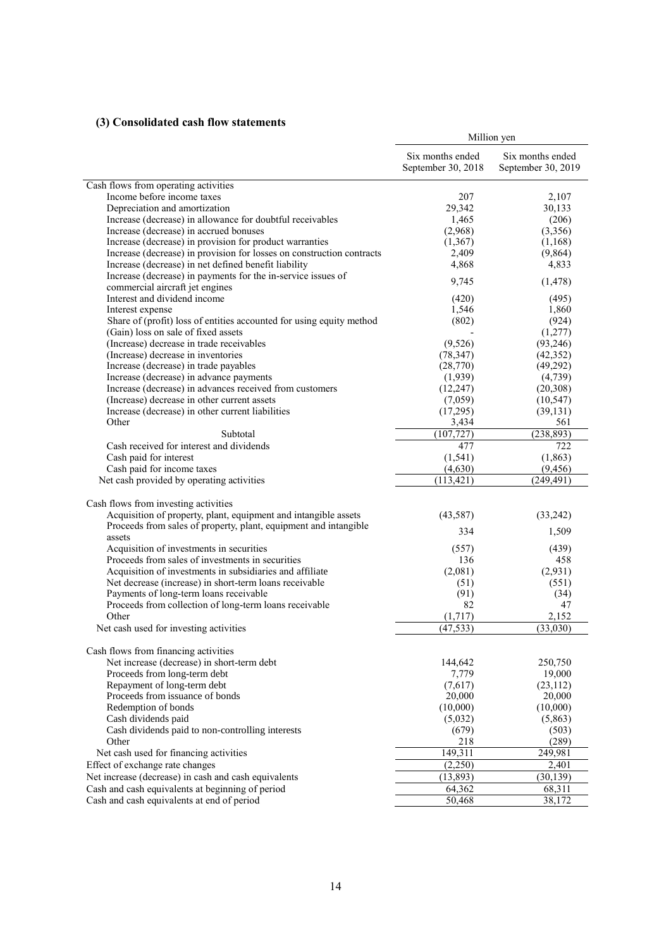## **(3) Consolidated cash flow statements**

|                                                                                                 | Million yen                            |                                        |  |
|-------------------------------------------------------------------------------------------------|----------------------------------------|----------------------------------------|--|
|                                                                                                 | Six months ended<br>September 30, 2018 | Six months ended<br>September 30, 2019 |  |
| Cash flows from operating activities                                                            |                                        |                                        |  |
| Income before income taxes                                                                      | 207                                    | 2,107                                  |  |
| Depreciation and amortization                                                                   | 29,342                                 | 30,133                                 |  |
| Increase (decrease) in allowance for doubtful receivables                                       | 1,465                                  | (206)                                  |  |
| Increase (decrease) in accrued bonuses                                                          | (2,968)                                | (3,356)                                |  |
| Increase (decrease) in provision for product warranties                                         | (1, 367)                               | (1,168)                                |  |
| Increase (decrease) in provision for losses on construction contracts                           | 2,409                                  | (9,864)                                |  |
| Increase (decrease) in net defined benefit liability                                            | 4,868                                  | 4,833                                  |  |
| Increase (decrease) in payments for the in-service issues of<br>commercial aircraft jet engines | 9,745                                  | (1, 478)                               |  |
| Interest and dividend income                                                                    | (420)                                  | (495)                                  |  |
| Interest expense                                                                                | 1,546                                  | 1,860                                  |  |
| Share of (profit) loss of entities accounted for using equity method                            | (802)                                  | (924)                                  |  |
| (Gain) loss on sale of fixed assets                                                             |                                        | (1,277)                                |  |
| (Increase) decrease in trade receivables                                                        | (9,526)                                | (93,246)                               |  |
| (Increase) decrease in inventories                                                              | (78, 347)                              | (42, 352)                              |  |
| Increase (decrease) in trade payables                                                           | (28,770)                               | (49,292)                               |  |
| Increase (decrease) in advance payments                                                         | (1,939)                                | (4, 739)                               |  |
| Increase (decrease) in advances received from customers                                         | (12, 247)                              | (20, 308)                              |  |
| (Increase) decrease in other current assets                                                     | (7,059)                                | (10, 547)                              |  |
| Increase (decrease) in other current liabilities                                                | (17,295)                               | (39, 131)                              |  |
| Other                                                                                           | 3,434                                  | 561                                    |  |
| Subtotal                                                                                        | (107, 727)                             | (238, 893)                             |  |
| Cash received for interest and dividends                                                        | 477                                    | 722                                    |  |
| Cash paid for interest                                                                          | (1, 541)                               | (1, 863)                               |  |
| Cash paid for income taxes                                                                      | (4,630)                                | (9, 456)                               |  |
| Net cash provided by operating activities                                                       | (113, 421)                             | (249, 491)                             |  |
| Cash flows from investing activities                                                            |                                        |                                        |  |
| Acquisition of property, plant, equipment and intangible assets                                 |                                        |                                        |  |
| Proceeds from sales of property, plant, equipment and intangible                                | (43,587)                               | (33,242)                               |  |
| assets                                                                                          | 334                                    | 1,509                                  |  |
| Acquisition of investments in securities                                                        | (557)                                  | (439)                                  |  |
| Proceeds from sales of investments in securities                                                | 136                                    | 458                                    |  |
| Acquisition of investments in subsidiaries and affiliate                                        | (2,081)                                | (2,931)                                |  |
| Net decrease (increase) in short-term loans receivable                                          | (51)                                   | (551)                                  |  |
| Payments of long-term loans receivable                                                          | (91)                                   | (34)                                   |  |
| Proceeds from collection of long-term loans receivable                                          | 82                                     | 47                                     |  |
| Other                                                                                           | (1,717)                                | 2,152                                  |  |
| Net cash used for investing activities                                                          | (47, 533)                              | (33,030)                               |  |
|                                                                                                 |                                        |                                        |  |
| Cash flows from financing activities                                                            |                                        |                                        |  |
| Net increase (decrease) in short-term debt                                                      | 144,642                                | 250,750                                |  |
| Proceeds from long-term debt                                                                    | 7,779                                  | 19,000                                 |  |
| Repayment of long-term debt                                                                     | (7,617)                                | (23, 112)                              |  |
| Proceeds from issuance of bonds                                                                 | 20,000                                 | 20,000                                 |  |
| Redemption of bonds                                                                             | (10,000)                               | (10,000)                               |  |
| Cash dividends paid                                                                             | (5,032)                                | (5,863)                                |  |
| Cash dividends paid to non-controlling interests<br>Other                                       | (679)<br>218                           | (503)<br>(289)                         |  |
|                                                                                                 | 149,311                                |                                        |  |
| Net cash used for financing activities                                                          |                                        | 249,981                                |  |
| Effect of exchange rate changes                                                                 | (2,250)                                | 2,401                                  |  |
| Net increase (decrease) in cash and cash equivalents                                            | (13,893)                               | (30, 139)                              |  |
| Cash and cash equivalents at beginning of period                                                | 64,362                                 | 68,311                                 |  |
| Cash and cash equivalents at end of period                                                      | 50,468                                 | 38,172                                 |  |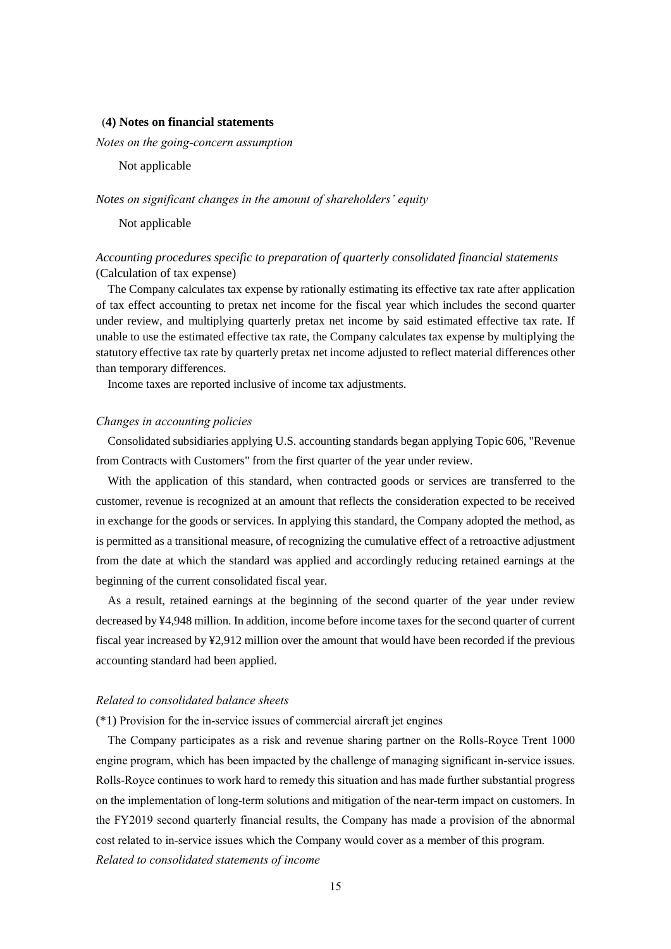#### (**4) Notes on financial statements**

*Notes on the going-concern assumption* 

Not applicable

#### *Notes on significant changes in the amount of shareholders' equity*

Not applicable

## *Accounting procedures specific to preparation of quarterly consolidated financial statements* (Calculation of tax expense)

The Company calculates tax expense by rationally estimating its effective tax rate after application of tax effect accounting to pretax net income for the fiscal year which includes the second quarter under review, and multiplying quarterly pretax net income by said estimated effective tax rate. If unable to use the estimated effective tax rate, the Company calculates tax expense by multiplying the statutory effective tax rate by quarterly pretax net income adjusted to reflect material differences other than temporary differences.

Income taxes are reported inclusive of income tax adjustments.

### *Changes in accounting policies*

Consolidated subsidiaries applying U.S. accounting standards began applying Topic 606, "Revenue from Contracts with Customers" from the first quarter of the year under review.

With the application of this standard, when contracted goods or services are transferred to the customer, revenue is recognized at an amount that reflects the consideration expected to be received in exchange for the goods or services. In applying this standard, the Company adopted the method, as is permitted as a transitional measure, of recognizing the cumulative effect of a retroactive adjustment from the date at which the standard was applied and accordingly reducing retained earnings at the beginning of the current consolidated fiscal year.

As a result, retained earnings at the beginning of the second quarter of the year under review decreased by ¥4,948 million. In addition, income before income taxes for the second quarter of current fiscal year increased by ¥2,912 million over the amount that would have been recorded if the previous accounting standard had been applied.

#### *Related to consolidated balance sheets*

(\*1) Provision for the in-service issues of commercial aircraft jet engines

The Company participates as a risk and revenue sharing partner on the Rolls-Royce Trent 1000 engine program, which has been impacted by the challenge of managing significant in-service issues. Rolls-Royce continues to work hard to remedy this situation and has made further substantial progress on the implementation of long-term solutions and mitigation of the near-term impact on customers. In the FY2019 second quarterly financial results, the Company has made a provision of the abnormal cost related to in-service issues which the Company would cover as a member of this program. *Related to consolidated statements of income*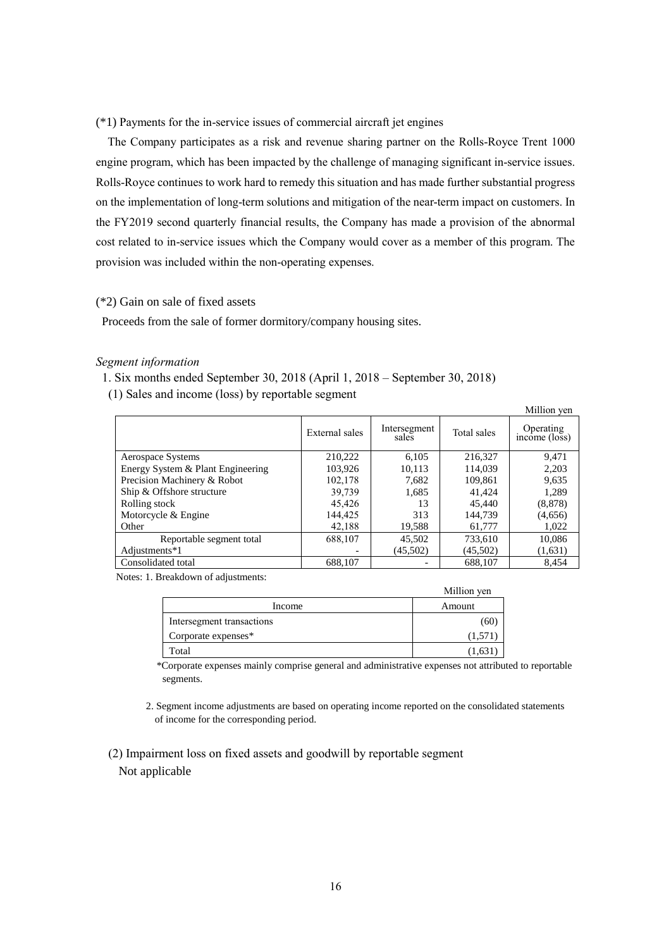(\*1) Payments for the in-service issues of commercial aircraft jet engines

The Company participates as a risk and revenue sharing partner on the Rolls-Royce Trent 1000 engine program, which has been impacted by the challenge of managing significant in-service issues. Rolls-Royce continues to work hard to remedy this situation and has made further substantial progress on the implementation of long-term solutions and mitigation of the near-term impact on customers. In the FY2019 second quarterly financial results, the Company has made a provision of the abnormal cost related to in-service issues which the Company would cover as a member of this program. The provision was included within the non-operating expenses.

## (\*2) Gain on sale of fixed assets

Proceeds from the sale of former dormitory/company housing sites.

### *Segment information*

1. Six months ended September 30, 2018 (April 1, 2018 – September 30, 2018)

(1) Sales and income (loss) by reportable segment

|                                   |                |                       |             | Million yen                |
|-----------------------------------|----------------|-----------------------|-------------|----------------------------|
|                                   | External sales | Intersegment<br>sales | Total sales | Operating<br>income (loss) |
| Aerospace Systems                 | 210,222        | 6,105                 | 216,327     | 9,471                      |
| Energy System & Plant Engineering | 103,926        | 10,113                | 114.039     | 2,203                      |
| Precision Machinery & Robot       | 102,178        | 7.682                 | 109,861     | 9,635                      |
| Ship & Offshore structure         | 39,739         | 1,685                 | 41.424      | 1,289                      |
| Rolling stock                     | 45.426         | 13                    | 45,440      | (8, 878)                   |
| Motorcycle & Engine               | 144,425        | 313                   | 144.739     | (4,656)                    |
| Other                             | 42,188         | 19,588                | 61,777      | 1,022                      |
| Reportable segment total          | 688,107        | 45,502                | 733,610     | 10,086                     |
| Adjustments*1                     |                | (45,502)              | (45,502)    | (1,631)                    |
| Consolidated total                | 688,107        |                       | 688,107     | 8,454                      |

Notes: 1. Breakdown of adjustments:

|                           | Million yen |
|---------------------------|-------------|
| Income                    | Amount      |
| Intersegment transactions | (60         |
| Corporate expenses*       | (1,571)     |
| Total                     | (1,631)     |

\*Corporate expenses mainly comprise general and administrative expenses not attributed to reportable segments.

- 2. Segment income adjustments are based on operating income reported on the consolidated statements of income for the corresponding period.
- (2) Impairment loss on fixed assets and goodwill by reportable segment Not applicable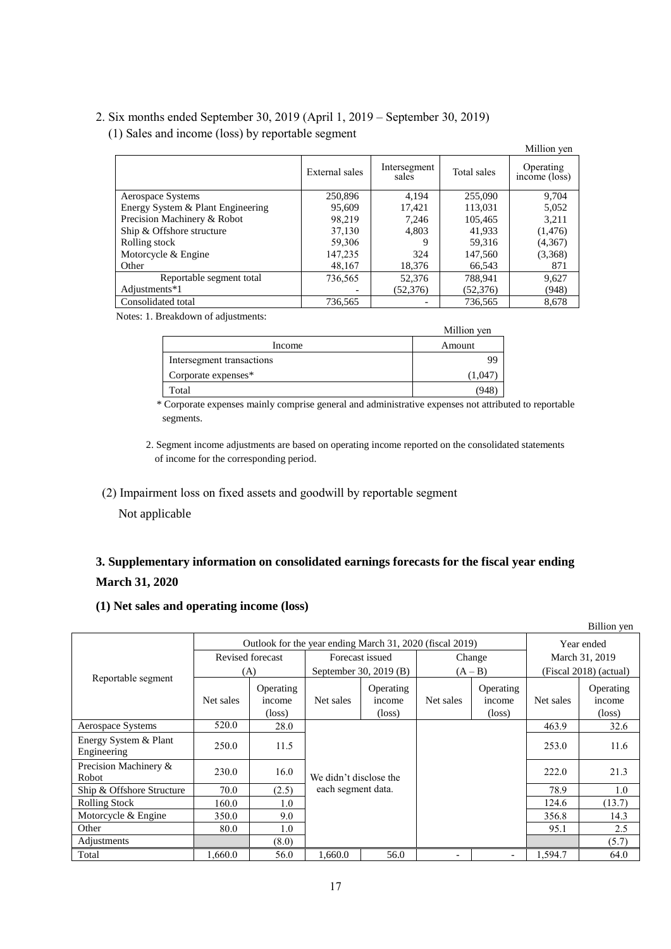## 2. Six months ended September 30, 2019 (April 1, 2019 – September 30, 2019)

(1) Sales and income (loss) by reportable segment

|                                   |                |                       |             | Million yen                |
|-----------------------------------|----------------|-----------------------|-------------|----------------------------|
|                                   | External sales | Intersegment<br>sales | Total sales | Operating<br>income (loss) |
| Aerospace Systems                 | 250,896        | 4.194                 | 255,090     | 9.704                      |
| Energy System & Plant Engineering | 95,609         | 17.421                | 113.031     | 5,052                      |
| Precision Machinery & Robot       | 98.219         | 7.246                 | 105,465     | 3.211                      |
| Ship & Offshore structure         | 37,130         | 4.803                 | 41.933      | (1, 476)                   |
| Rolling stock                     | 59,306         | Q                     | 59,316      | (4,367)                    |
| Motorcycle & Engine               | 147,235        | 324                   | 147,560     | (3,368)                    |
| Other                             | 48,167         | 18.376                | 66.543      | 871                        |
| Reportable segment total          | 736,565        | 52,376                | 788.941     | 9,627                      |
| Adjustments*1                     |                | (52, 376)             | (52,376)    | (948)                      |
| Consolidated total                | 736.565        |                       | 736,565     | 8.678                      |

Notes: 1. Breakdown of adjustments:

|                           | Million yen |
|---------------------------|-------------|
| Income                    | Amount      |
| Intersegment transactions | 99          |
| Corporate expenses*       | 1.04        |
| Total                     | 94          |

\* Corporate expenses mainly comprise general and administrative expenses not attributed to reportable segments.

2. Segment income adjustments are based on operating income reported on the consolidated statements of income for the corresponding period.

## (2) Impairment loss on fixed assets and goodwill by reportable segment

Not applicable

# **3. Supplementary information on consolidated earnings forecasts for the fiscal year ending March 31, 2020**

## **(1) Net sales and operating income (loss)**

|                                      |                                                          |                                        |                        |                                        |           |                                        |                        | Billion yen                            |
|--------------------------------------|----------------------------------------------------------|----------------------------------------|------------------------|----------------------------------------|-----------|----------------------------------------|------------------------|----------------------------------------|
|                                      | Outlook for the year ending March 31, 2020 (fiscal 2019) |                                        |                        |                                        |           |                                        | Year ended             |                                        |
|                                      | Revised forecast                                         |                                        | Forecast issued        |                                        | Change    |                                        | March 31, 2019         |                                        |
|                                      |                                                          | (A)                                    |                        | September 30, 2019 (B)                 | $(A - B)$ |                                        | (Fiscal 2018) (actual) |                                        |
| Reportable segment                   | Net sales                                                | Operating<br>income<br>$(\text{loss})$ | Net sales              | Operating<br>income<br>$(\text{loss})$ | Net sales | Operating<br>income<br>$(\text{loss})$ | Net sales              | Operating<br>income<br>$(\text{loss})$ |
| Aerospace Systems                    | 520.0                                                    | 28.0                                   |                        |                                        |           |                                        | 463.9                  | 32.6                                   |
| Energy System & Plant<br>Engineering | 250.0                                                    | 11.5                                   |                        |                                        |           |                                        | 253.0                  | 11.6                                   |
| Precision Machinery &<br>Robot       | 230.0                                                    | 16.0                                   | We didn't disclose the |                                        |           |                                        | 222.0                  | 21.3                                   |
| Ship & Offshore Structure            | 70.0                                                     | (2.5)                                  | each segment data.     |                                        |           |                                        | 78.9                   | 1.0                                    |
| <b>Rolling Stock</b>                 | 160.0                                                    | 1.0                                    |                        |                                        |           |                                        | 124.6                  | (13.7)                                 |
| Motorcycle & Engine                  | 350.0                                                    | 9.0                                    |                        |                                        |           |                                        | 356.8                  | 14.3                                   |
| Other                                | 80.0                                                     | 1.0                                    |                        |                                        |           |                                        | 95.1                   | 2.5                                    |
| Adjustments                          |                                                          | (8.0)                                  |                        |                                        |           |                                        |                        | (5.7)                                  |
| Total                                | 1,660.0                                                  | 56.0                                   | 1.660.0                | 56.0                                   |           | $\overline{\phantom{a}}$               | 1,594.7                | 64.0                                   |